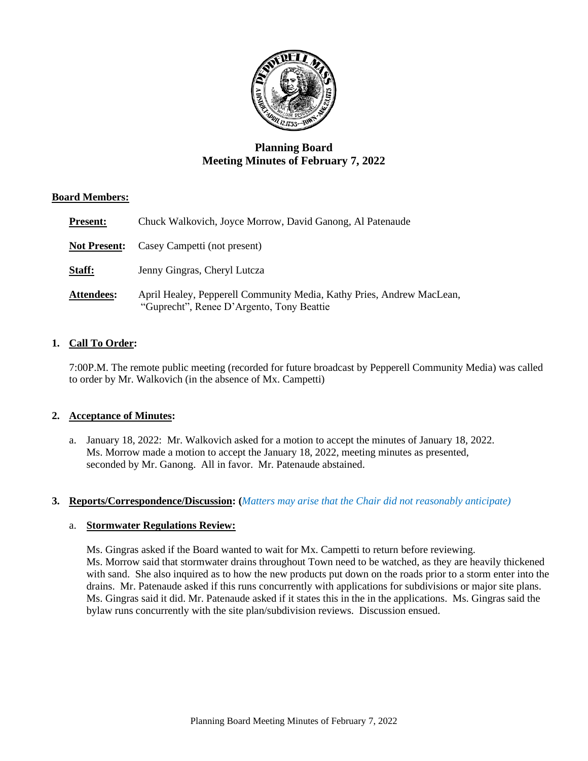

# **Planning Board Meeting Minutes of February 7, 2022**

### **Board Members:**

| <b>Present:</b>     | Chuck Walkovich, Joyce Morrow, David Ganong, Al Patenaude                                                          |
|---------------------|--------------------------------------------------------------------------------------------------------------------|
| <b>Not Present:</b> | Casey Campetti (not present)                                                                                       |
| Staff:              | Jenny Gingras, Cheryl Lutcza                                                                                       |
| Attendees:          | April Healey, Pepperell Community Media, Kathy Pries, Andrew MacLean,<br>"Guprecht", Renee D'Argento, Tony Beattie |

## **1. Call To Order:**

7:00P.M. The remote public meeting (recorded for future broadcast by Pepperell Community Media) was called to order by Mr. Walkovich (in the absence of Mx. Campetti)

#### **2. Acceptance of Minutes:**

a. January 18, 2022: Mr. Walkovich asked for a motion to accept the minutes of January 18, 2022. Ms. Morrow made a motion to accept the January 18, 2022, meeting minutes as presented, seconded by Mr. Ganong. All in favor. Mr. Patenaude abstained.

#### **3. Reports/Correspondence/Discussion: (***Matters may arise that the Chair did not reasonably anticipate)*

#### a. **Stormwater Regulations Review:**

Ms. Gingras asked if the Board wanted to wait for Mx. Campetti to return before reviewing. Ms. Morrow said that stormwater drains throughout Town need to be watched, as they are heavily thickened with sand. She also inquired as to how the new products put down on the roads prior to a storm enter into the drains. Mr. Patenaude asked if this runs concurrently with applications for subdivisions or major site plans. Ms. Gingras said it did. Mr. Patenaude asked if it states this in the in the applications. Ms. Gingras said the bylaw runs concurrently with the site plan/subdivision reviews. Discussion ensued.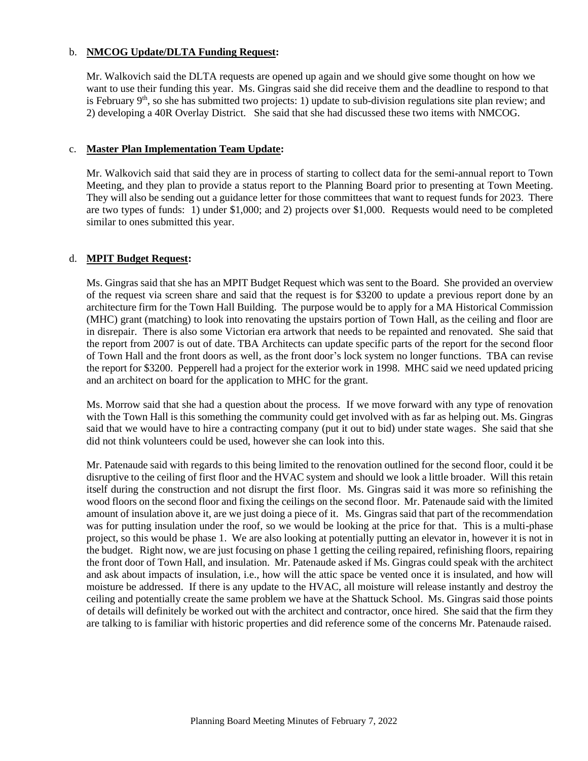#### b. **NMCOG Update/DLTA Funding Request:**

Mr. Walkovich said the DLTA requests are opened up again and we should give some thought on how we want to use their funding this year. Ms. Gingras said she did receive them and the deadline to respond to that is February  $9<sup>th</sup>$ , so she has submitted two projects: 1) update to sub-division regulations site plan review; and 2) developing a 40R Overlay District. She said that she had discussed these two items with NMCOG.

#### c. **Master Plan Implementation Team Update:**

Mr. Walkovich said that said they are in process of starting to collect data for the semi-annual report to Town Meeting, and they plan to provide a status report to the Planning Board prior to presenting at Town Meeting. They will also be sending out a guidance letter for those committees that want to request funds for 2023. There are two types of funds: 1) under \$1,000; and 2) projects over \$1,000. Requests would need to be completed similar to ones submitted this year.

#### d. **MPIT Budget Request:**

Ms. Gingras said that she has an MPIT Budget Request which was sent to the Board. She provided an overview of the request via screen share and said that the request is for \$3200 to update a previous report done by an architecture firm for the Town Hall Building. The purpose would be to apply for a MA Historical Commission (MHC) grant (matching) to look into renovating the upstairs portion of Town Hall, as the ceiling and floor are in disrepair. There is also some Victorian era artwork that needs to be repainted and renovated. She said that the report from 2007 is out of date. TBA Architects can update specific parts of the report for the second floor of Town Hall and the front doors as well, as the front door's lock system no longer functions. TBA can revise the report for \$3200. Pepperell had a project for the exterior work in 1998. MHC said we need updated pricing and an architect on board for the application to MHC for the grant.

Ms. Morrow said that she had a question about the process. If we move forward with any type of renovation with the Town Hall is this something the community could get involved with as far as helping out. Ms. Gingras said that we would have to hire a contracting company (put it out to bid) under state wages. She said that she did not think volunteers could be used, however she can look into this.

Mr. Patenaude said with regards to this being limited to the renovation outlined for the second floor, could it be disruptive to the ceiling of first floor and the HVAC system and should we look a little broader. Will this retain itself during the construction and not disrupt the first floor. Ms. Gingras said it was more so refinishing the wood floors on the second floor and fixing the ceilings on the second floor. Mr. Patenaude said with the limited amount of insulation above it, are we just doing a piece of it. Ms. Gingras said that part of the recommendation was for putting insulation under the roof, so we would be looking at the price for that. This is a multi-phase project, so this would be phase 1. We are also looking at potentially putting an elevator in, however it is not in the budget. Right now, we are just focusing on phase 1 getting the ceiling repaired, refinishing floors, repairing the front door of Town Hall, and insulation. Mr. Patenaude asked if Ms. Gingras could speak with the architect and ask about impacts of insulation, i.e., how will the attic space be vented once it is insulated, and how will moisture be addressed. If there is any update to the HVAC, all moisture will release instantly and destroy the ceiling and potentially create the same problem we have at the Shattuck School. Ms. Gingras said those points of details will definitely be worked out with the architect and contractor, once hired. She said that the firm they are talking to is familiar with historic properties and did reference some of the concerns Mr. Patenaude raised.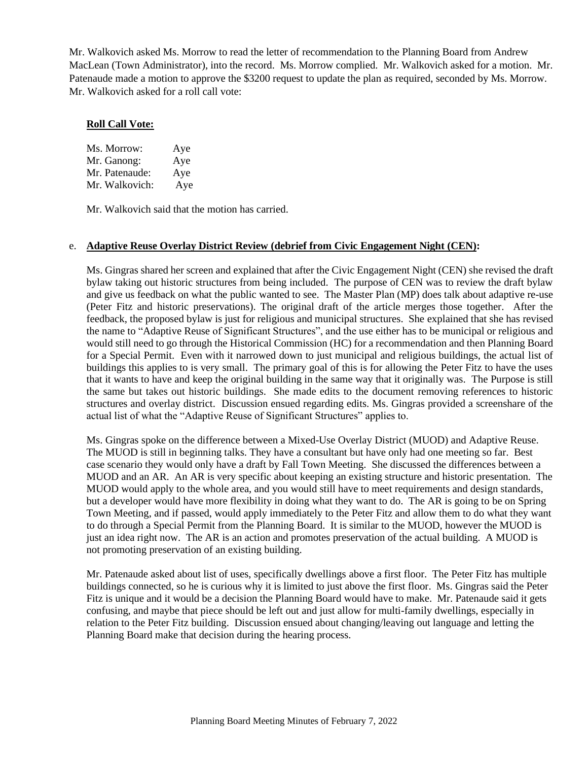Mr. Walkovich asked Ms. Morrow to read the letter of recommendation to the Planning Board from Andrew MacLean (Town Administrator), into the record. Ms. Morrow complied. Mr. Walkovich asked for a motion. Mr. Patenaude made a motion to approve the \$3200 request to update the plan as required, seconded by Ms. Morrow. Mr. Walkovich asked for a roll call vote:

#### **Roll Call Vote:**

| Ms. Morrow:    | Aye |
|----------------|-----|
| Mr. Ganong:    | Aye |
| Mr. Patenaude: | Aye |
| Mr. Walkovich: | Aye |

Mr. Walkovich said that the motion has carried.

#### e. **Adaptive Reuse Overlay District Review (debrief from Civic Engagement Night (CEN):**

Ms. Gingras shared her screen and explained that after the Civic Engagement Night (CEN) she revised the draft bylaw taking out historic structures from being included. The purpose of CEN was to review the draft bylaw and give us feedback on what the public wanted to see. The Master Plan (MP) does talk about adaptive re-use (Peter Fitz and historic preservations). The original draft of the article merges those together. After the feedback, the proposed bylaw is just for religious and municipal structures. She explained that she has revised the name to "Adaptive Reuse of Significant Structures", and the use either has to be municipal or religious and would still need to go through the Historical Commission (HC) for a recommendation and then Planning Board for a Special Permit. Even with it narrowed down to just municipal and religious buildings, the actual list of buildings this applies to is very small. The primary goal of this is for allowing the Peter Fitz to have the uses that it wants to have and keep the original building in the same way that it originally was. The Purpose is still the same but takes out historic buildings. She made edits to the document removing references to historic structures and overlay district. Discussion ensued regarding edits. Ms. Gingras provided a screenshare of the actual list of what the "Adaptive Reuse of Significant Structures" applies to.

Ms. Gingras spoke on the difference between a Mixed-Use Overlay District (MUOD) and Adaptive Reuse. The MUOD is still in beginning talks. They have a consultant but have only had one meeting so far. Best case scenario they would only have a draft by Fall Town Meeting. She discussed the differences between a MUOD and an AR. An AR is very specific about keeping an existing structure and historic presentation. The MUOD would apply to the whole area, and you would still have to meet requirements and design standards, but a developer would have more flexibility in doing what they want to do. The AR is going to be on Spring Town Meeting, and if passed, would apply immediately to the Peter Fitz and allow them to do what they want to do through a Special Permit from the Planning Board. It is similar to the MUOD, however the MUOD is just an idea right now. The AR is an action and promotes preservation of the actual building. A MUOD is not promoting preservation of an existing building.

Mr. Patenaude asked about list of uses, specifically dwellings above a first floor. The Peter Fitz has multiple buildings connected, so he is curious why it is limited to just above the first floor. Ms. Gingras said the Peter Fitz is unique and it would be a decision the Planning Board would have to make. Mr. Patenaude said it gets confusing, and maybe that piece should be left out and just allow for multi-family dwellings, especially in relation to the Peter Fitz building. Discussion ensued about changing/leaving out language and letting the Planning Board make that decision during the hearing process.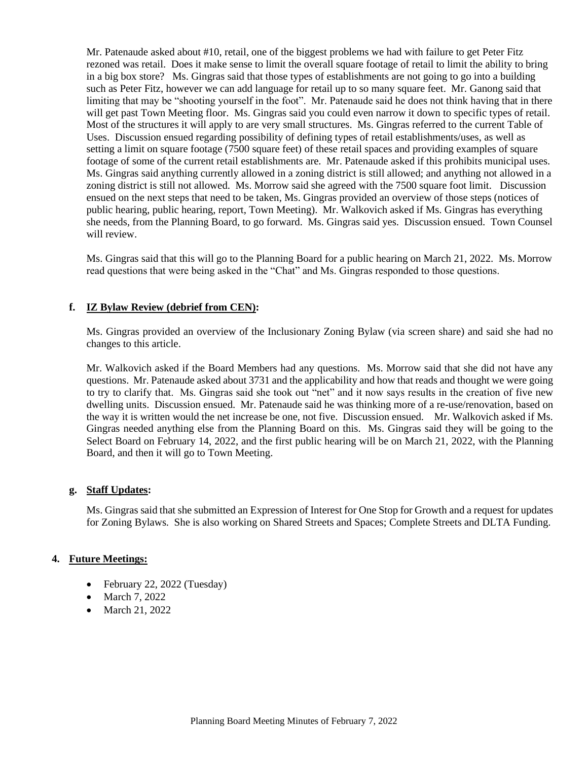Mr. Patenaude asked about #10, retail, one of the biggest problems we had with failure to get Peter Fitz rezoned was retail. Does it make sense to limit the overall square footage of retail to limit the ability to bring in a big box store? Ms. Gingras said that those types of establishments are not going to go into a building such as Peter Fitz, however we can add language for retail up to so many square feet. Mr. Ganong said that limiting that may be "shooting yourself in the foot". Mr. Patenaude said he does not think having that in there will get past Town Meeting floor. Ms. Gingras said you could even narrow it down to specific types of retail. Most of the structures it will apply to are very small structures. Ms. Gingras referred to the current Table of Uses. Discussion ensued regarding possibility of defining types of retail establishments/uses, as well as setting a limit on square footage (7500 square feet) of these retail spaces and providing examples of square footage of some of the current retail establishments are. Mr. Patenaude asked if this prohibits municipal uses. Ms. Gingras said anything currently allowed in a zoning district is still allowed; and anything not allowed in a zoning district is still not allowed. Ms. Morrow said she agreed with the 7500 square foot limit. Discussion ensued on the next steps that need to be taken, Ms. Gingras provided an overview of those steps (notices of public hearing, public hearing, report, Town Meeting). Mr. Walkovich asked if Ms. Gingras has everything she needs, from the Planning Board, to go forward. Ms. Gingras said yes. Discussion ensued. Town Counsel will review.

Ms. Gingras said that this will go to the Planning Board for a public hearing on March 21, 2022. Ms. Morrow read questions that were being asked in the "Chat" and Ms. Gingras responded to those questions.

### **f. IZ Bylaw Review (debrief from CEN):**

Ms. Gingras provided an overview of the Inclusionary Zoning Bylaw (via screen share) and said she had no changes to this article.

Mr. Walkovich asked if the Board Members had any questions. Ms. Morrow said that she did not have any questions. Mr. Patenaude asked about 3731 and the applicability and how that reads and thought we were going to try to clarify that. Ms. Gingras said she took out "net" and it now says results in the creation of five new dwelling units. Discussion ensued. Mr. Patenaude said he was thinking more of a re-use/renovation, based on the way it is written would the net increase be one, not five. Discussion ensued. Mr. Walkovich asked if Ms. Gingras needed anything else from the Planning Board on this. Ms. Gingras said they will be going to the Select Board on February 14, 2022, and the first public hearing will be on March 21, 2022, with the Planning Board, and then it will go to Town Meeting.

#### **g. Staff Updates:**

Ms. Gingras said that she submitted an Expression of Interest for One Stop for Growth and a request for updates for Zoning Bylaws. She is also working on Shared Streets and Spaces; Complete Streets and DLTA Funding.

#### **4. Future Meetings:**

- February 22, 2022 (Tuesday)
- March 7, 2022
- March 21, 2022